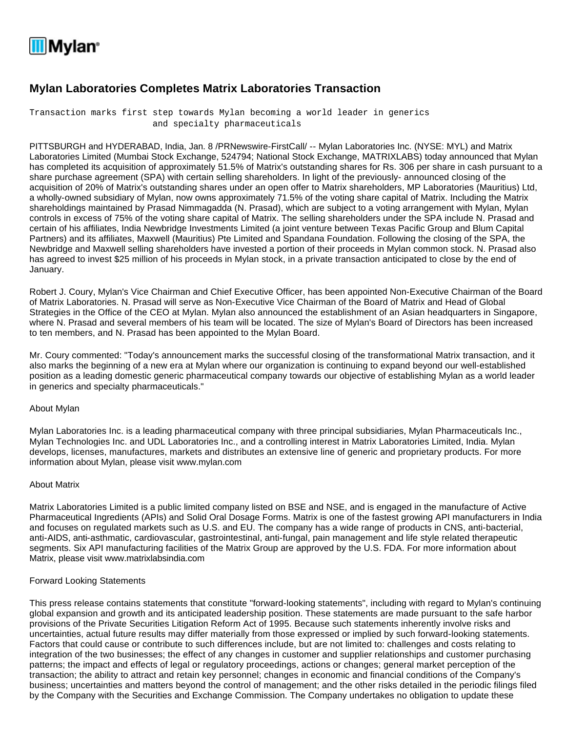

## **Mylan Laboratories Completes Matrix Laboratories Transaction**

Transaction marks first step towards Mylan becoming a world leader in generics and specialty pharmaceuticals

PITTSBURGH and HYDERABAD, India, Jan. 8 /PRNewswire-FirstCall/ -- Mylan Laboratories Inc. (NYSE: MYL) and Matrix Laboratories Limited (Mumbai Stock Exchange, 524794; National Stock Exchange, MATRIXLABS) today announced that Mylan has completed its acquisition of approximately 51.5% of Matrix's outstanding shares for Rs. 306 per share in cash pursuant to a share purchase agreement (SPA) with certain selling shareholders. In light of the previously- announced closing of the acquisition of 20% of Matrix's outstanding shares under an open offer to Matrix shareholders, MP Laboratories (Mauritius) Ltd, a wholly-owned subsidiary of Mylan, now owns approximately 71.5% of the voting share capital of Matrix. Including the Matrix shareholdings maintained by Prasad Nimmagadda (N. Prasad), which are subject to a voting arrangement with Mylan, Mylan controls in excess of 75% of the voting share capital of Matrix. The selling shareholders under the SPA include N. Prasad and certain of his affiliates, India Newbridge Investments Limited (a joint venture between Texas Pacific Group and Blum Capital Partners) and its affiliates, Maxwell (Mauritius) Pte Limited and Spandana Foundation. Following the closing of the SPA, the Newbridge and Maxwell selling shareholders have invested a portion of their proceeds in Mylan common stock. N. Prasad also has agreed to invest \$25 million of his proceeds in Mylan stock, in a private transaction anticipated to close by the end of January.

Robert J. Coury, Mylan's Vice Chairman and Chief Executive Officer, has been appointed Non-Executive Chairman of the Board of Matrix Laboratories. N. Prasad will serve as Non-Executive Vice Chairman of the Board of Matrix and Head of Global Strategies in the Office of the CEO at Mylan. Mylan also announced the establishment of an Asian headquarters in Singapore, where N. Prasad and several members of his team will be located. The size of Mylan's Board of Directors has been increased to ten members, and N. Prasad has been appointed to the Mylan Board.

Mr. Coury commented: "Today's announcement marks the successful closing of the transformational Matrix transaction, and it also marks the beginning of a new era at Mylan where our organization is continuing to expand beyond our well-established position as a leading domestic generic pharmaceutical company towards our objective of establishing Mylan as a world leader in generics and specialty pharmaceuticals."

## About Mylan

Mylan Laboratories Inc. is a leading pharmaceutical company with three principal subsidiaries, Mylan Pharmaceuticals Inc., Mylan Technologies Inc. and UDL Laboratories Inc., and a controlling interest in Matrix Laboratories Limited, India. Mylan develops, licenses, manufactures, markets and distributes an extensive line of generic and proprietary products. For more information about Mylan, please visit www.mylan.com

## About Matrix

Matrix Laboratories Limited is a public limited company listed on BSE and NSE, and is engaged in the manufacture of Active Pharmaceutical Ingredients (APIs) and Solid Oral Dosage Forms. Matrix is one of the fastest growing API manufacturers in India and focuses on regulated markets such as U.S. and EU. The company has a wide range of products in CNS, anti-bacterial, anti-AIDS, anti-asthmatic, cardiovascular, gastrointestinal, anti-fungal, pain management and life style related therapeutic segments. Six API manufacturing facilities of the Matrix Group are approved by the U.S. FDA. For more information about Matrix, please visit www.matrixlabsindia.com

## Forward Looking Statements

This press release contains statements that constitute "forward-looking statements", including with regard to Mylan's continuing global expansion and growth and its anticipated leadership position. These statements are made pursuant to the safe harbor provisions of the Private Securities Litigation Reform Act of 1995. Because such statements inherently involve risks and uncertainties, actual future results may differ materially from those expressed or implied by such forward-looking statements. Factors that could cause or contribute to such differences include, but are not limited to: challenges and costs relating to integration of the two businesses; the effect of any changes in customer and supplier relationships and customer purchasing patterns; the impact and effects of legal or regulatory proceedings, actions or changes; general market perception of the transaction; the ability to attract and retain key personnel; changes in economic and financial conditions of the Company's business; uncertainties and matters beyond the control of management; and the other risks detailed in the periodic filings filed by the Company with the Securities and Exchange Commission. The Company undertakes no obligation to update these